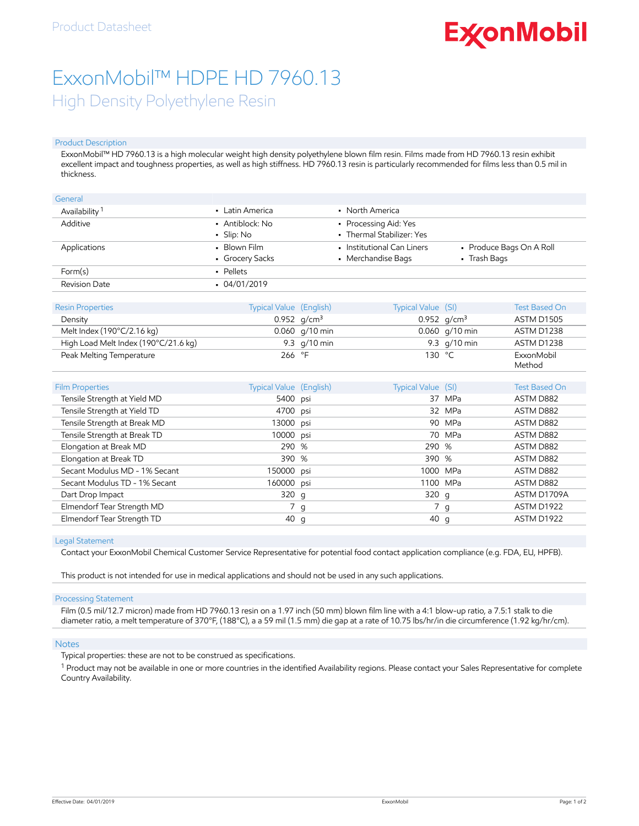# **ExconMobil**

## ExxonMobil™ HDPE HD 7960.13 High Density Polyethylene Resin

#### Product Description

ExxonMobil™ HD 7960.13 is a high molecular weight high density polyethylene blown film resin. Films made from HD 7960.13 resin exhibit excellent impact and toughness properties, as well as high stiffness. HD 7960.13 resin is particularly recommended for films less than 0.5 mil in thickness.

| General                   |                                     |                                                    |                                          |
|---------------------------|-------------------------------------|----------------------------------------------------|------------------------------------------|
| Availability <sup>1</sup> | • Latin America                     | • North America                                    |                                          |
| Additive                  | • Antiblock: No<br>$\cdot$ Slip: No | • Processing Aid: Yes<br>• Thermal Stabilizer: Yes |                                          |
| Applications              | • Blown Film<br>• Grocery Sacks     | • Institutional Can Liners<br>• Merchandise Bags   | • Produce Bags On A Roll<br>• Trash Bags |
| Form(s)                   | • Pellets                           |                                                    |                                          |
| Revision Date             | $-04/01/2019$                       |                                                    |                                          |

| <b>Resin Properties</b>                     | <b>Typical Value (English)</b> | Typical Value (SI) | <b>Test Based On</b> |
|---------------------------------------------|--------------------------------|--------------------|----------------------|
| Density                                     | 0.952 $q/cm^3$                 | 0.952 $q/cm^3$     | ASTM D1505           |
| Melt Index $(190^{\circ}C/2.16 \text{ kg})$ | $0.060$ g/10 min               | $0.060$ g/10 min   | ASTM D1238           |
| High Load Melt Index (190°C/21.6 kg)        | 9.3 $q/10$ min                 | 9.3 $q/10$ min     | ASTM D1238           |
| Peak Melting Temperature                    | 266 $\degree$ F                | 130 $^{\circ}$ C   | ExxonMobil<br>Method |
|                                             |                                |                    |                      |

| <b>Film Properties</b>        | Typical Value (English) | Typical Value (SI) |          | <b>Test Based On</b> |
|-------------------------------|-------------------------|--------------------|----------|----------------------|
| Tensile Strength at Yield MD  | 5400 psi                |                    | 37 MPa   | ASTM D882            |
| Tensile Strength at Yield TD  | 4700 psi                |                    | 32 MPa   | ASTM D882            |
| Tensile Strength at Break MD  | 13000 psi               |                    | 90 MPa   | ASTM D882            |
| Tensile Strength at Break TD  | 10000 psi               |                    | 70 MPa   | ASTM D882            |
| Elongation at Break MD        | 290 %                   | 290 %              |          | ASTM D882            |
| Elongation at Break TD        | 390 %                   | 390 %              |          | ASTM D882            |
| Secant Modulus MD - 1% Secant | 150000 psi              |                    | 1000 MPa | ASTM D882            |
| Secant Modulus TD - 1% Secant | 160000 psi              |                    | 1100 MPa | ASTM D882            |
| Dart Drop Impact              | 320 g                   | 320q               |          | ASTM D1709A          |
| Elmendorf Tear Strength MD    | 7 g                     |                    | 7 g      | ASTM D1922           |
| Elmendorf Tear Strength TD    | 40 g                    | 40 g               |          | ASTM D1922           |

#### Legal Statement

Contact your ExxonMobil Chemical Customer Service Representative for potential food contact application compliance (e.g. FDA, EU, HPFB).

This product is not intended for use in medical applications and should not be used in any such applications.

#### Processing Statement

Film (0.5 mil/12.7 micron) made from HD 7960.13 resin on a 1.97 inch (50 mm) blown film line with a 4:1 blow-up ratio, a 7.5:1 stalk to die diameter ratio, a melt temperature of 370°F, (188°C), a a 59 mil (1.5 mm) die gap at a rate of 10.75 lbs/hr/in die circumference (1.92 kg/hr/cm).

#### **Notes**

Typical properties: these are not to be construed as specifications.

<sup>1</sup> Product may not be available in one or more countries in the identified Availability regions. Please contact your Sales Representative for complete Country Availability.